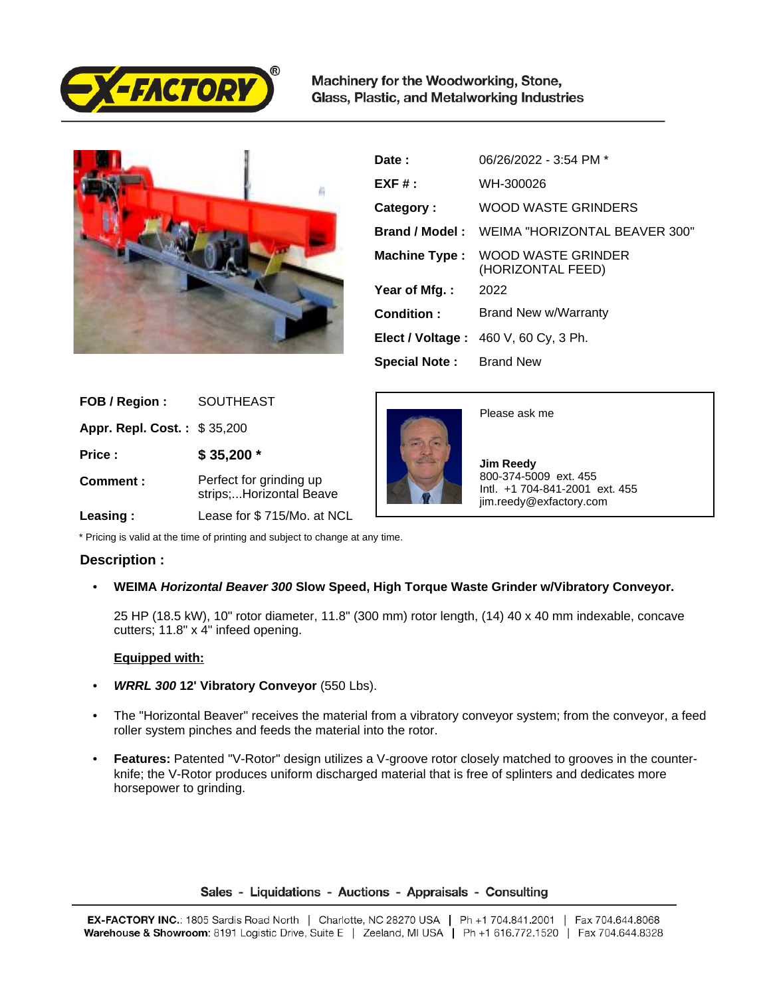

Machinery for the Woodworking, Stone, Glass, Plastic, and Metalworking Industries



| Date:                          | 06/26/2022 - 3:54 PM *                   |
|--------------------------------|------------------------------------------|
| $EXF#$ :                       | WH-300026                                |
| Category:                      | WOOD WASTE GRINDERS                      |
| Brand / Model:                 | WEIMA "HORIZONTAL BEAVER 300"            |
| Machine Type:                  | WOOD WASTE GRINDER<br>(HORIZONTAL FEED)  |
| Year of Mfg.:                  | 2022                                     |
| Condition:                     | Brand New w/Warranty                     |
|                                | Elect / Voltage: $460$ V, $60$ Cy, 3 Ph. |
| <b>Special Note:</b> Brand New |                                          |

| FOB / Region:                      | <b>SOUTHEAST</b>                                   |
|------------------------------------|----------------------------------------------------|
| <b>Appr. Repl. Cost.: \$35,200</b> |                                                    |
| Price:                             | $$35,200$ *                                        |
| Comment:                           | Perfect for grinding up<br>strips;Horizontal Beave |
| Leasing:                           | Lease for \$715/Mo. at NCL                         |



Please ask me

 **Jim Reedy** 800-374-5009 ext. 455 Intl. +1 704-841-2001 ext. 455 jim.reedy@exfactory.com

\* Pricing is valid at the time of printing and subject to change at any time.

## **Description :**

• **WEIMA Horizontal Beaver 300 Slow Speed, High Torque Waste Grinder w/Vibratory Conveyor.** 

25 HP (18.5 kW), 10" rotor diameter, 11.8" (300 mm) rotor length, (14) 40 x 40 mm indexable, concave cutters; 11.8" x 4" infeed opening.

## **Equipped with:**

- **WRRL 300 12' Vibratory Conveyor** (550 Lbs).
- The "Horizontal Beaver" receives the material from a vibratory conveyor system; from the conveyor, a feed roller system pinches and feeds the material into the rotor.
- **Features:** Patented "V-Rotor" design utilizes a V-groove rotor closely matched to grooves in the counterknife; the V-Rotor produces uniform discharged material that is free of splinters and dedicates more horsepower to grinding.

## Sales - Liquidations - Auctions - Appraisals - Consulting